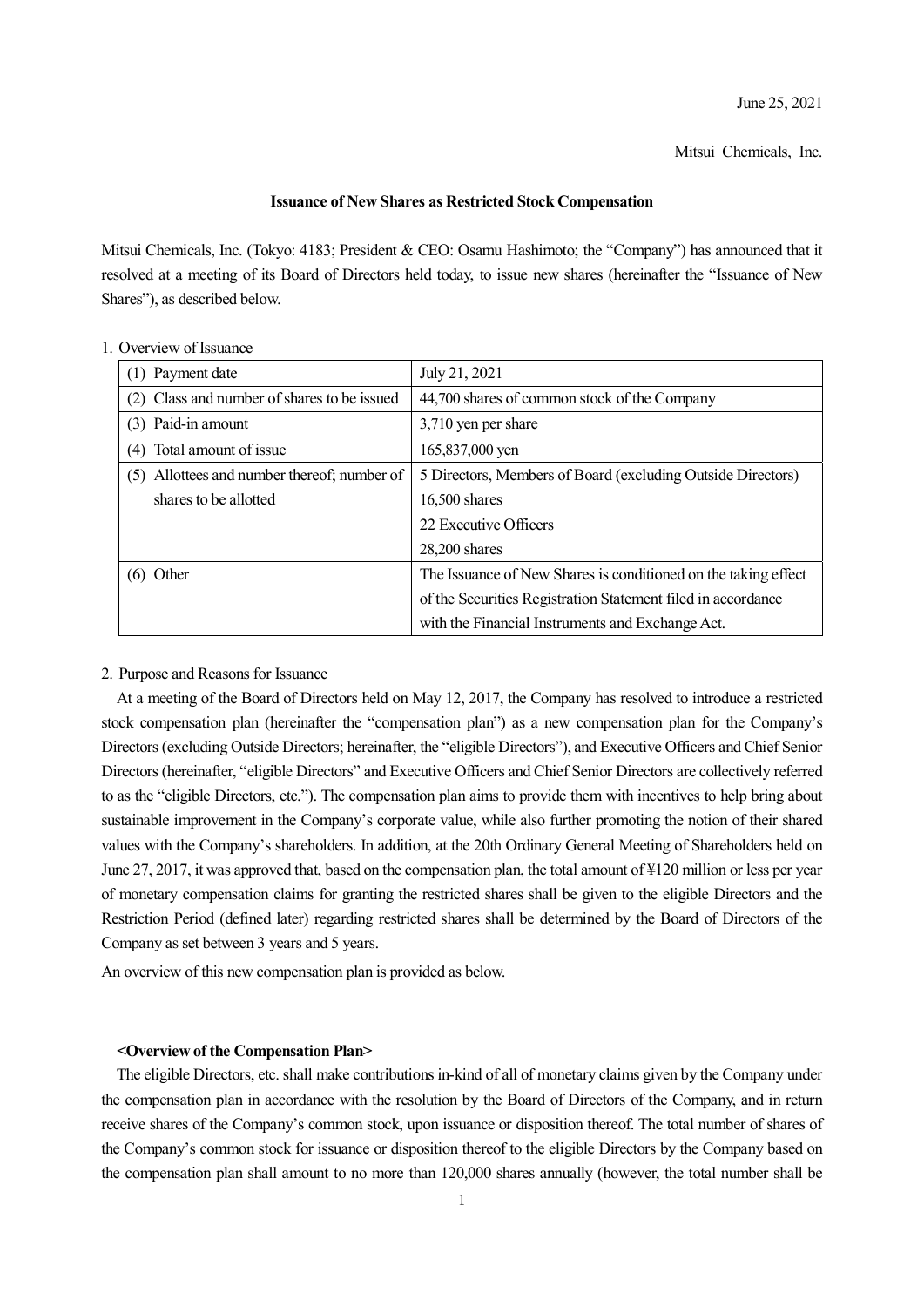Mitsui Chemicals, Inc.

### **Issuance of New Shares as Restricted Stock Compensation**

Mitsui Chemicals, Inc. (Tokyo: 4183; President & CEO: Osamu Hashimoto; the "Company") has announced that it resolved at a meeting of its Board of Directors held today, to issue new shares (hereinafter the "Issuance of New Shares"), as described below.

| (1) Payment date                            | July 21, 2021                                                  |
|---------------------------------------------|----------------------------------------------------------------|
| (2) Class and number of shares to be issued | 44,700 shares of common stock of the Company                   |
| (3) Paid-in amount                          | 3,710 yen per share                                            |
| Total amount of issue<br>(4)                | 165,837,000 yen                                                |
| (5) Allottees and number thereof; number of | 5 Directors, Members of Board (excluding Outside Directors)    |
| shares to be allotted                       | $16,500$ shares                                                |
|                                             | 22 Executive Officers                                          |
|                                             | $28,200$ shares                                                |
| Other<br>(6)                                | The Issuance of New Shares is conditioned on the taking effect |
|                                             | of the Securities Registration Statement filed in accordance   |
|                                             | with the Financial Instruments and Exchange Act.               |

## 1. Overview of Issuance

## 2. Purpose and Reasons for Issuance

At a meeting of the Board of Directors held on May 12, 2017, the Company has resolved to introduce a restricted stock compensation plan (hereinafter the "compensation plan") as a new compensation plan for the Company's Directors (excluding Outside Directors; hereinafter, the "eligible Directors"), and Executive Officers and Chief Senior Directors (hereinafter, "eligible Directors" and Executive Officers and Chief Senior Directors are collectively referred to as the "eligible Directors, etc."). The compensation plan aims to provide them with incentives to help bring about sustainable improvement in the Company's corporate value, while also further promoting the notion of their shared values with the Company's shareholders. In addition, at the 20th Ordinary General Meeting of Shareholders held on June 27, 2017, it was approved that, based on the compensation plan, the total amount of ¥120 million or less per year of monetary compensation claims for granting the restricted shares shall be given to the eligible Directors and the Restriction Period (defined later) regarding restricted shares shall be determined by the Board of Directors of the Company as set between 3 years and 5 years.

An overview of this new compensation plan is provided as below.

#### **<Overview of the Compensation Plan>**

The eligible Directors, etc. shall make contributions in-kind of all of monetary claims given by the Company under the compensation plan in accordance with the resolution by the Board of Directors of the Company, and in return receive shares of the Company's common stock, upon issuance or disposition thereof. The total number of shares of the Company's common stock for issuance or disposition thereof to the eligible Directors by the Company based on the compensation plan shall amount to no more than 120,000 shares annually (however, the total number shall be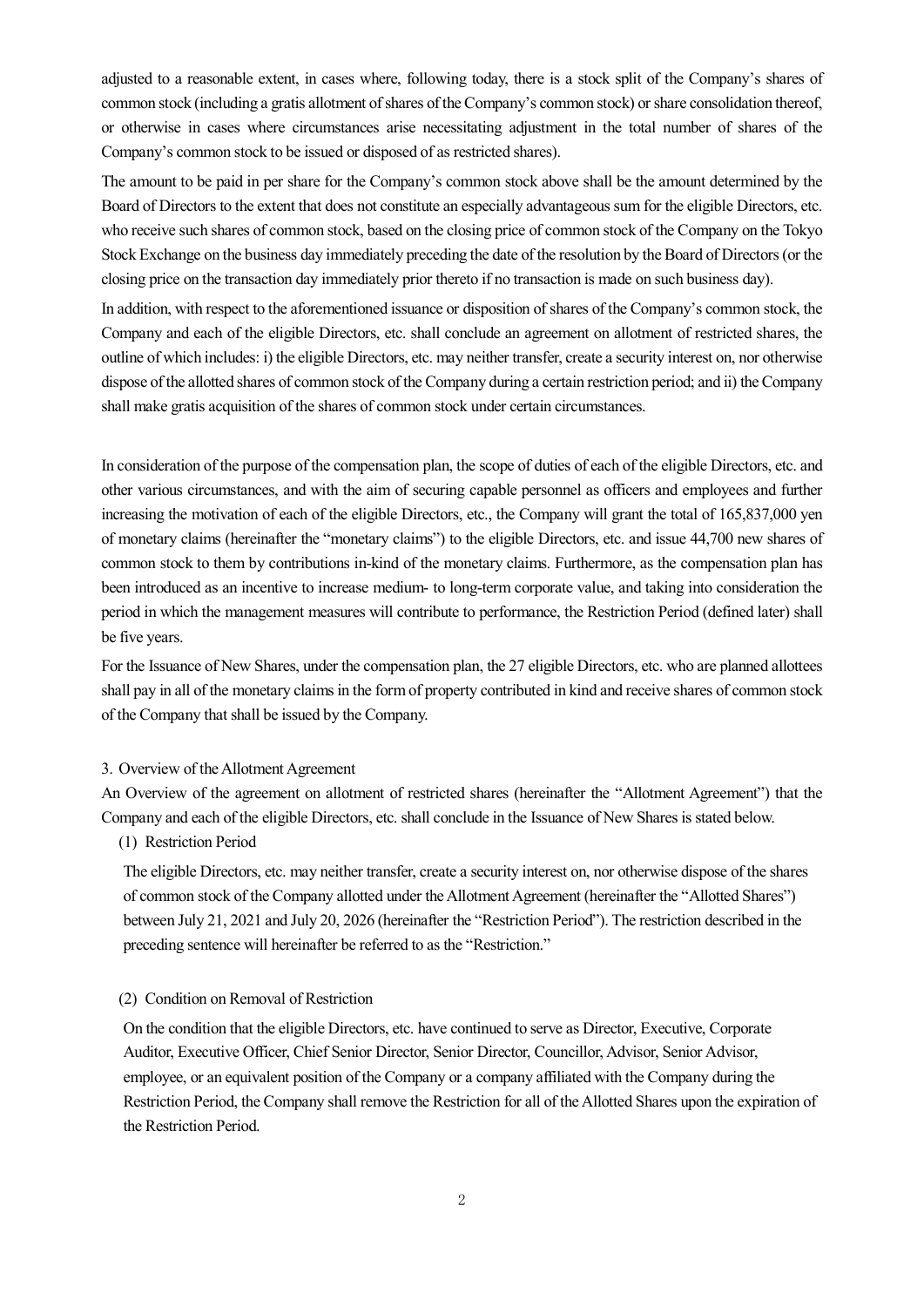adjusted to a reasonable extent, in cases where, following today, there is a stock split of the Company's shares of common stock (including a gratis allotment of shares of the Company's common stock) or share consolidation thereof, or otherwise in cases where circumstances arise necessitating adjustment in the total number of shares of the Company's common stock to be issued or disposed of as restricted shares).

The amount to be paid in per share for the Company's common stock above shall be the amount determined by the Board of Directors to the extent that does not constitute an especially advantageous sum for the eligible Directors, etc. who receive such shares of common stock, based on the closing price of common stock of the Company on the Tokyo Stock Exchange on the business day immediately preceding the date of the resolution by the Board of Directors (or the closing price on the transaction day immediately prior thereto if no transaction is made on such business day).

In addition, with respect to the aforementioned issuance or disposition of shares of the Company's common stock, the Company and each of the eligible Directors, etc. shall conclude an agreement on allotment of restricted shares, the outline of which includes: i) the eligible Directors, etc. may neither transfer, create a security interest on, nor otherwise dispose of the allotted shares of common stock of the Company during a certain restriction period; and ii) the Company shall make gratis acquisition of the shares of common stock under certain circumstances.

In consideration of the purpose of the compensation plan, the scope of duties of each of the eligible Directors, etc. and other various circumstances, and with the aim of securing capable personnel as officers and employees and further increasing the motivation of each of the eligible Directors, etc., the Company will grant the total of 165,837,000 yen of monetary claims (hereinafter the "monetary claims") to the eligible Directors, etc. and issue 44,700 new shares of common stock to them by contributions in-kind of the monetary claims. Furthermore, as the compensation plan has been introduced as an incentive to increase medium- to long-term corporate value, and taking into consideration the period in which the management measures will contribute to performance, the Restriction Period (defined later) shall be five years.

For the Issuance of New Shares, under the compensation plan, the 27 eligible Directors, etc. who are planned allottees shall pay in all of the monetary claims in the form of property contributed in kind and receive shares of common stock of the Company that shall be issued by the Company.

## 3. Overview of the Allotment Agreement

An Overview of the agreement on allotment of restricted shares (hereinafter the "Allotment Agreement") that the Company and each of the eligible Directors, etc. shall conclude in the Issuance of New Shares is stated below.

# (1) Restriction Period

The eligible Directors, etc. may neither transfer, create a security interest on, nor otherwise dispose of the shares of common stock of the Company allotted under the Allotment Agreement (hereinafter the "Allotted Shares") between July 21, 2021 and July 20, 2026 (hereinafter the "Restriction Period"). The restriction described in the preceding sentence will hereinafter be referred to as the "Restriction."

#### (2) Condition on Removal of Restriction

On the condition that the eligible Directors, etc. have continued to serve as Director, Executive, Corporate Auditor, Executive Officer, Chief Senior Director, Senior Director, Councillor, Advisor, Senior Advisor, employee, or an equivalent position of the Company or a company affiliated with the Company during the Restriction Period, the Company shall remove the Restriction for all of the Allotted Shares upon the expiration of the Restriction Period.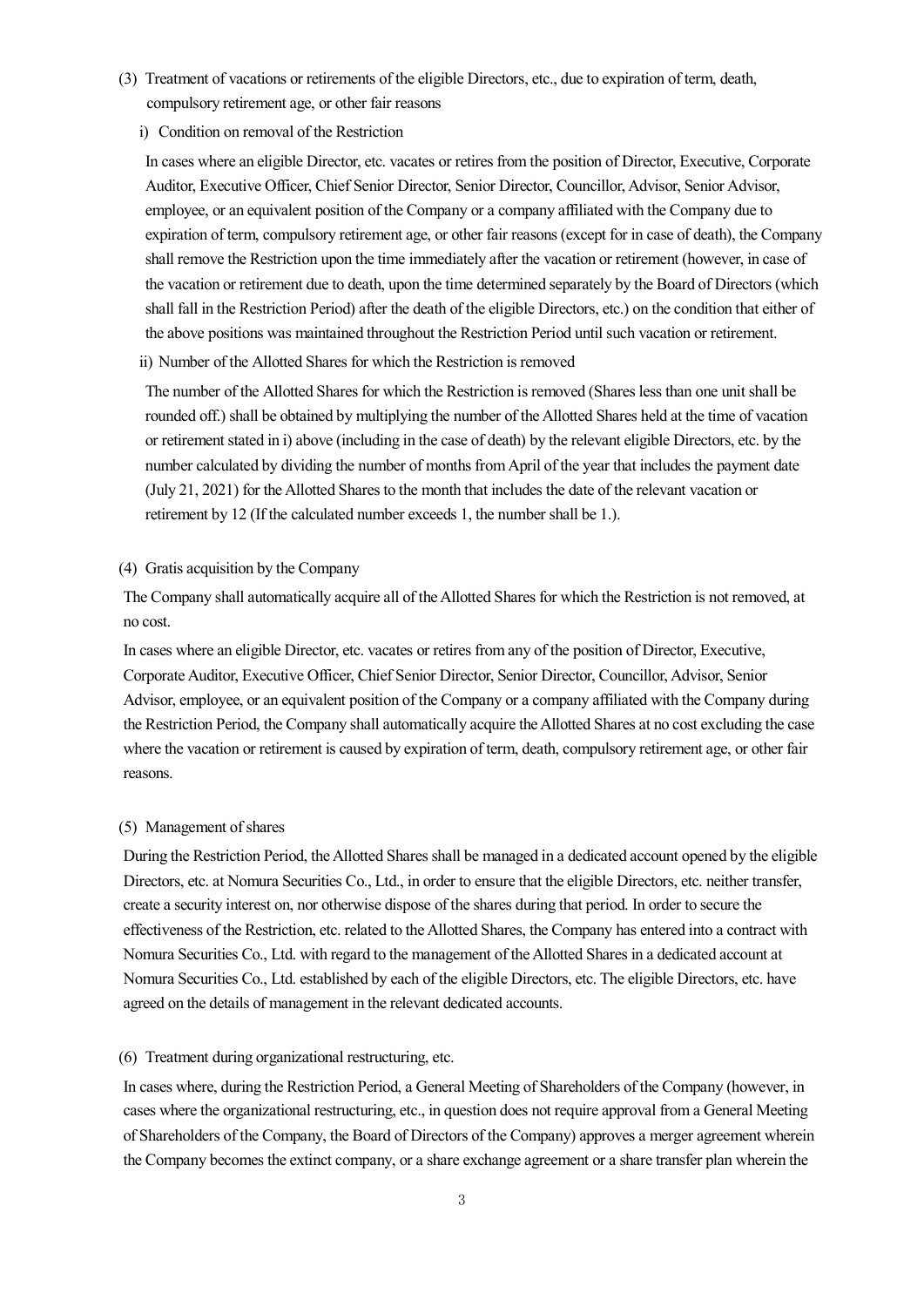- (3) Treatment of vacations or retirements of the eligible Directors, etc., due to expiration of term, death, compulsory retirement age, or other fair reasons
	- i) Condition on removal of the Restriction

In cases where an eligible Director, etc. vacates or retires from the position of Director, Executive, Corporate Auditor, Executive Officer, Chief Senior Director, Senior Director, Councillor, Advisor, Senior Advisor, employee, or an equivalent position of the Company or a company affiliated with the Company due to expiration of term, compulsory retirement age, or other fair reasons (except for in case of death), the Company shall remove the Restriction upon the time immediately after the vacation or retirement (however, in case of the vacation or retirement due to death, upon the time determined separately by the Board of Directors (which shall fall in the Restriction Period) after the death of the eligible Directors, etc.) on the condition that either of the above positions was maintained throughout the Restriction Period until such vacation or retirement.

ii) Number of the Allotted Shares for which the Restriction is removed

The number of the Allotted Shares for which the Restriction is removed (Shares less than one unit shall be rounded off.) shall be obtained by multiplying the number of the Allotted Shares held at the time of vacation or retirement stated in i) above (including in the case of death) by the relevant eligible Directors, etc. by the number calculated by dividing the number of months from April of the year that includes the payment date (July 21, 2021) for the Allotted Shares to the month that includes the date of the relevant vacation or retirement by 12 (If the calculated number exceeds 1, the number shall be 1.).

## (4) Gratis acquisition by the Company

The Company shall automatically acquire all of the Allotted Shares for which the Restriction is not removed, at no cost.

In cases where an eligible Director, etc. vacates or retires from any of the position of Director, Executive, Corporate Auditor, Executive Officer, Chief Senior Director, Senior Director, Councillor, Advisor, Senior Advisor, employee, or an equivalent position of the Company or a company affiliated with the Company during the Restriction Period, the Company shall automatically acquire the Allotted Shares at no cost excluding the case where the vacation or retirement is caused by expiration of term, death, compulsory retirement age, or other fair reasons.

#### (5) Management of shares

During the Restriction Period, the Allotted Shares shall be managed in a dedicated account opened by the eligible Directors, etc. at Nomura Securities Co., Ltd., in order to ensure that the eligible Directors, etc. neither transfer, create a security interest on, nor otherwise dispose of the shares during that period. In order to secure the effectiveness of the Restriction, etc. related to the Allotted Shares, the Company has entered into a contract with Nomura Securities Co., Ltd. with regard to the management of the Allotted Shares in a dedicated account at Nomura Securities Co., Ltd. established by each of the eligible Directors, etc. The eligible Directors, etc. have agreed on the details of management in the relevant dedicated accounts.

#### (6) Treatment during organizational restructuring, etc.

In cases where, during the Restriction Period, a General Meeting of Shareholders of the Company (however, in cases where the organizational restructuring, etc., in question does not require approval from a General Meeting of Shareholders of the Company, the Board of Directors of the Company) approves a merger agreement wherein the Company becomes the extinct company, or a share exchange agreement or a share transfer plan wherein the